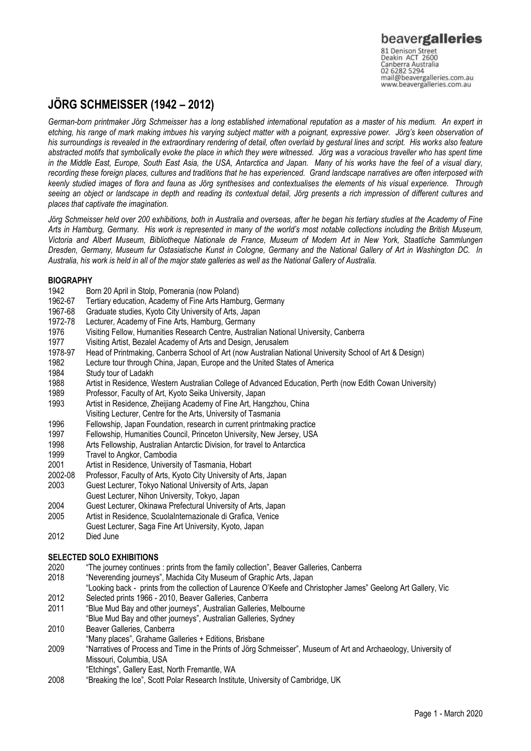# **JÖRG SCHMEISSER (1942 – 2012)**

*German-born printmaker Jörg Schmeisser has a long established international reputation as a master of his medium. An expert in etching, his range of mark making imbues his varying subject matter with a poignant, expressive power. Jörg's keen observation of his surroundings is revealed in the extraordinary rendering of detail, often overlaid by gestural lines and script. His works also feature abstracted motifs that symbolically evoke the place in which they were witnessed. Jörg was a voracious traveller who has spent time in the Middle East, Europe, South East Asia, the USA, Antarctica and Japan. Many of his works have the feel of a visual diary, recording these foreign places, cultures and traditions that he has experienced. Grand landscape narratives are often interposed with keenly studied images of flora and fauna as Jörg synthesises and contextualises the elements of his visual experience. Through seeing an object or landscape in depth and reading its contextual detail, Jörg presents a rich impression of different cultures and places that captivate the imagination.*

*Jörg Schmeisser held over 200 exhibitions, both in Australia and overseas, after he began his tertiary studies at the Academy of Fine Arts in Hamburg, Germany. His work is represented in many of the world's most notable collections including the British Museum, Victoria and Albert Museum, Bibliotheque Nationale de France, Museum of Modern Art in New York, Staatliche Sammlungen Dresden, Germany, Museum fur Ostasiatische Kunst in Cologne, Germany and the National Gallery of Art in Washington DC. In Australia, his work is held in all of the major state galleries as well as the National Gallery of Australia.* 

# **BIOGRAPHY**

- 1942 Born 20 April in Stolp, Pomerania (now Poland)
- 1962-67 Tertiary education, Academy of Fine Arts Hamburg, Germany
- Graduate studies, Kyoto City University of Arts, Japan
- 1972-78 Lecturer, Academy of Fine Arts, Hamburg, Germany
- 1976 Visiting Fellow, Humanities Research Centre, Australian National University, Canberra
- 1977 Visiting Artist, Bezalel Academy of Arts and Design, Jerusalem
- 1978-97 Head of Printmaking, Canberra School of Art (now Australian National University School of Art & Design)
- 1982 Lecture tour through China, Japan, Europe and the United States of America
- 1984 Study tour of Ladakh
- 1988 Artist in Residence, Western Australian College of Advanced Education, Perth (now Edith Cowan University)
- 1989 Professor, Faculty of Art, Kyoto Seika University, Japan
- 1993 Artist in Residence, Zheijiang Academy of Fine Art, Hangzhou, China Visiting Lecturer, Centre for the Arts, University of Tasmania
- 1996 Fellowship, Japan Foundation, research in current printmaking practice
- 1997 Fellowship, Humanities Council, Princeton University, New Jersey, USA
- 1998 Arts Fellowship, Australian Antarctic Division, for travel to Antarctica
- 1999 Travel to Angkor, Cambodia
- 2001 Artist in Residence, University of Tasmania, Hobart
- 2002-08 Professor, Faculty of Arts, Kyoto City University of Arts, Japan
- 2003 Guest Lecturer, Tokyo National University of Arts, Japan
- Guest Lecturer, Nihon University, Tokyo, Japan
- 2004 Guest Lecturer, Okinawa Prefectural University of Arts, Japan
- Artist in Residence, ScuolaInternazionale di Grafica, Venice
- Guest Lecturer, Saga Fine Art University, Kyoto, Japan
- 2012 Died June

# **SELECTED SOLO EXHIBITIONS**

- 2020 "The journey continues : prints from the family collection", Beaver Galleries, Canberra
- 2018 "Neverending journeys", Machida City Museum of Graphic Arts, Japan
- "Looking back prints from the collection of Laurence O'Keefe and Christopher James" Geelong Art Gallery, Vic
- 2012 Selected prints 1966 2010, Beaver Galleries, Canberra
- 2011 "Blue Mud Bay and other journeys", Australian Galleries, Melbourne "Blue Mud Bay and other journeys", Australian Galleries, Sydney
- 2010 Beaver Galleries, Canberra
- "Many places", Grahame Galleries + Editions, Brisbane
- 2009 "Narratives of Process and Time in the Prints of Jörg Schmeisser", Museum of Art and Archaeology, University of Missouri, Columbia, USA
	- "Etchings", Gallery East, North Fremantle, WA
- 2008 "Breaking the Ice", Scott Polar Research Institute, University of Cambridge, UK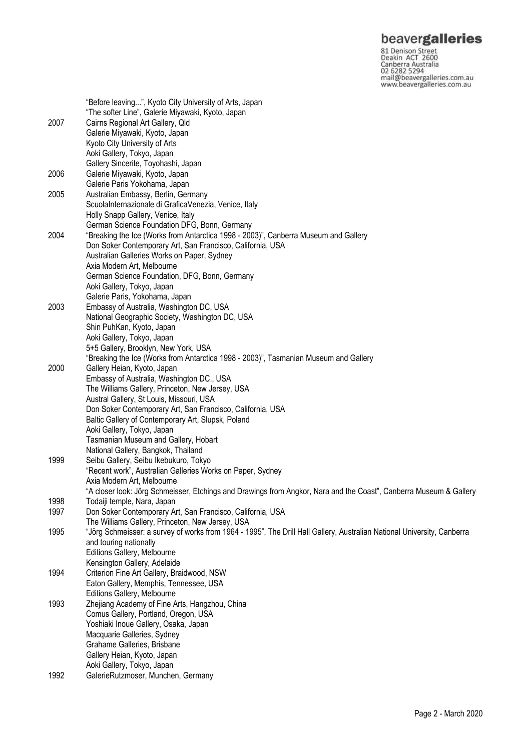**beavergalleries**<br> **S1 Denison Street**<br>
Deakin ACT 2600<br>
Canberra Australia<br>
02 6282 5294<br>
mail@beavergalleries.com.au<br>
www.beavergalleries.com.au

|      | "Before leaving", Kyoto City University of Arts, Japan                                                                  |
|------|-------------------------------------------------------------------------------------------------------------------------|
|      | "The softer Line", Galerie Miyawaki, Kyoto, Japan                                                                       |
| 2007 | Cairns Regional Art Gallery, Qld                                                                                        |
|      | Galerie Miyawaki, Kyoto, Japan                                                                                          |
|      | Kyoto City University of Arts                                                                                           |
|      | Aoki Gallery, Tokyo, Japan                                                                                              |
|      | Gallery Sincerite, Toyohashi, Japan                                                                                     |
| 2006 | Galerie Miyawaki, Kyoto, Japan                                                                                          |
|      | Galerie Paris Yokohama, Japan                                                                                           |
| 2005 | Australian Embassy, Berlin, Germany                                                                                     |
|      | ScuolaInternazionale di GraficaVenezia, Venice, Italy                                                                   |
|      | Holly Snapp Gallery, Venice, Italy                                                                                      |
|      | German Science Foundation DFG, Bonn, Germany                                                                            |
| 2004 | "Breaking the Ice (Works from Antarctica 1998 - 2003)", Canberra Museum and Gallery                                     |
|      |                                                                                                                         |
|      | Don Soker Contemporary Art, San Francisco, California, USA                                                              |
|      | Australian Galleries Works on Paper, Sydney                                                                             |
|      | Axia Modern Art, Melbourne                                                                                              |
|      | German Science Foundation, DFG, Bonn, Germany                                                                           |
|      | Aoki Gallery, Tokyo, Japan                                                                                              |
|      | Galerie Paris, Yokohama, Japan                                                                                          |
| 2003 | Embassy of Australia, Washington DC, USA                                                                                |
|      | National Geographic Society, Washington DC, USA                                                                         |
|      | Shin PuhKan, Kyoto, Japan                                                                                               |
|      | Aoki Gallery, Tokyo, Japan                                                                                              |
|      | 5+5 Gallery, Brooklyn, New York, USA                                                                                    |
|      | "Breaking the Ice (Works from Antarctica 1998 - 2003)", Tasmanian Museum and Gallery                                    |
| 2000 | Gallery Heian, Kyoto, Japan                                                                                             |
|      | Embassy of Australia, Washington DC., USA                                                                               |
|      | The Williams Gallery, Princeton, New Jersey, USA                                                                        |
|      | Austral Gallery, St Louis, Missouri, USA                                                                                |
|      | Don Soker Contemporary Art, San Francisco, California, USA                                                              |
|      | Baltic Gallery of Contemporary Art, Slupsk, Poland                                                                      |
|      | Aoki Gallery, Tokyo, Japan                                                                                              |
|      | Tasmanian Museum and Gallery, Hobart                                                                                    |
|      | National Gallery, Bangkok, Thailand                                                                                     |
| 1999 | Seibu Gallery, Seibu Ikebukuro, Tokyo                                                                                   |
|      | "Recent work", Australian Galleries Works on Paper, Sydney                                                              |
|      | Axia Modern Art, Melbourne                                                                                              |
|      | "A closer look: Jörg Schmeisser, Etchings and Drawings from Angkor, Nara and the Coast", Canberra Museum & Gallery      |
|      |                                                                                                                         |
| 1998 | Todaiji temple, Nara, Japan                                                                                             |
| 1997 | Don Soker Contemporary Art, San Francisco, California, USA                                                              |
|      | The Williams Gallery, Princeton, New Jersey, USA                                                                        |
| 1995 | "Jörg Schmeisser: a survey of works from 1964 - 1995", The Drill Hall Gallery, Australian National University, Canberra |
|      | and touring nationally                                                                                                  |
|      | Editions Gallery, Melbourne                                                                                             |
|      | Kensington Gallery, Adelaide                                                                                            |
| 1994 | Criterion Fine Art Gallery, Braidwood, NSW                                                                              |
|      | Eaton Gallery, Memphis, Tennessee, USA                                                                                  |
|      | Editions Gallery, Melbourne                                                                                             |
| 1993 | Zhejiang Academy of Fine Arts, Hangzhou, China                                                                          |
|      | Comus Gallery, Portland, Oregon, USA                                                                                    |
|      | Yoshiaki Inoue Gallery, Osaka, Japan                                                                                    |
|      | Macquarie Galleries, Sydney                                                                                             |
|      | Grahame Galleries, Brisbane                                                                                             |
|      | Gallery Heian, Kyoto, Japan                                                                                             |
|      | Aoki Gallery, Tokyo, Japan                                                                                              |
| 1992 | GalerieRutzmoser, Munchen, Germany                                                                                      |
|      |                                                                                                                         |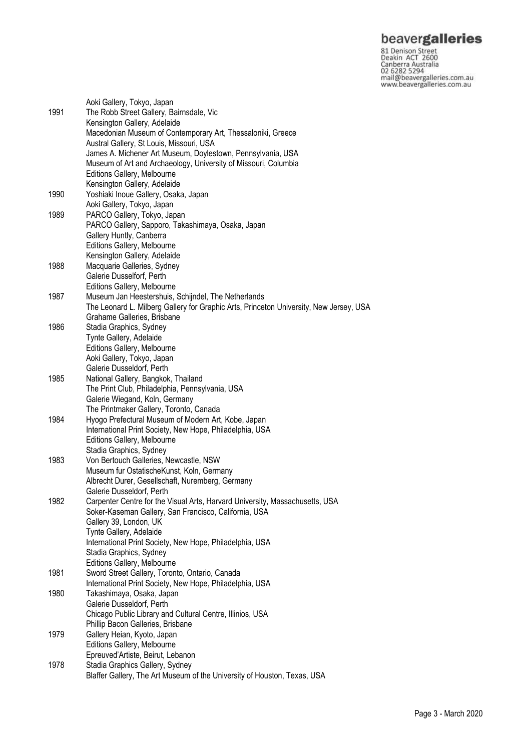**beavergalleries**<br> **S1 Denison Street**<br>
Deakin ACT 2600<br>
Canberra Australia<br>
02 6282 5294<br>
mail@beavergalleries.com.au<br>
www.beavergalleries.com.au

| 1991 | Aoki Gallery, Tokyo, Japan<br>The Robb Street Gallery, Bairnsdale, Vic<br>Kensington Gallery, Adelaide  |
|------|---------------------------------------------------------------------------------------------------------|
|      | Macedonian Museum of Contemporary Art, Thessaloniki, Greece<br>Austral Gallery, St Louis, Missouri, USA |
|      | James A. Michener Art Museum, Doylestown, Pennsylvania, USA                                             |
|      | Museum of Art and Archaeology, University of Missouri, Columbia                                         |
|      | Editions Gallery, Melbourne                                                                             |
|      | Kensington Gallery, Adelaide                                                                            |
| 1990 | Yoshiaki Inoue Gallery, Osaka, Japan                                                                    |
| 1989 | Aoki Gallery, Tokyo, Japan<br>PARCO Gallery, Tokyo, Japan                                               |
|      | PARCO Gallery, Sapporo, Takashimaya, Osaka, Japan                                                       |
|      | Gallery Huntly, Canberra                                                                                |
|      | Editions Gallery, Melbourne                                                                             |
|      | Kensington Gallery, Adelaide                                                                            |
| 1988 | Macquarie Galleries, Sydney                                                                             |
|      | Galerie Dusselforf, Perth                                                                               |
| 1987 | Editions Gallery, Melbourne<br>Museum Jan Heestershuis, Schijndel, The Netherlands                      |
|      | The Leonard L. Milberg Gallery for Graphic Arts, Princeton University, New Jersey, USA                  |
|      | Grahame Galleries, Brisbane                                                                             |
| 1986 | Stadia Graphics, Sydney                                                                                 |
|      | Tynte Gallery, Adelaide                                                                                 |
|      | Editions Gallery, Melbourne                                                                             |
|      | Aoki Gallery, Tokyo, Japan                                                                              |
| 1985 | Galerie Dusseldorf, Perth<br>National Gallery, Bangkok, Thailand                                        |
|      | The Print Club, Philadelphia, Pennsylvania, USA                                                         |
|      | Galerie Wiegand, Koln, Germany                                                                          |
|      | The Printmaker Gallery, Toronto, Canada                                                                 |
| 1984 | Hyogo Prefectural Museum of Modern Art, Kobe, Japan                                                     |
|      | International Print Society, New Hope, Philadelphia, USA                                                |
|      | Editions Gallery, Melbourne                                                                             |
| 1983 | Stadia Graphics, Sydney<br>Von Bertouch Galleries, Newcastle, NSW                                       |
|      | Museum fur OstatischeKunst, Koln, Germany                                                               |
|      | Albrecht Durer, Gesellschaft, Nuremberg, Germany                                                        |
|      | Galerie Dusseldorf. Perth                                                                               |
| 1982 | Carpenter Centre for the Visual Arts, Harvard University, Massachusetts, USA                            |
|      | Soker-Kaseman Gallery, San Francisco, California, USA                                                   |
|      | Gallery 39, London, UK<br>Tynte Gallery, Adelaide                                                       |
|      | International Print Society, New Hope, Philadelphia, USA                                                |
|      | Stadia Graphics, Sydney                                                                                 |
|      | Editions Gallery, Melbourne                                                                             |
| 1981 | Sword Street Gallery, Toronto, Ontario, Canada                                                          |
|      | International Print Society, New Hope, Philadelphia, USA                                                |
| 1980 | Takashimaya, Osaka, Japan                                                                               |
|      | Galerie Dusseldorf, Perth<br>Chicago Public Library and Cultural Centre, Illinios, USA                  |
|      | Phillip Bacon Galleries, Brisbane                                                                       |
| 1979 | Gallery Heian, Kyoto, Japan                                                                             |
|      | Editions Gallery, Melbourne                                                                             |
|      | Epreuved'Artiste, Beirut, Lebanon                                                                       |
| 1978 | Stadia Graphics Gallery, Sydney                                                                         |
|      | Blaffer Gallery, The Art Museum of the University of Houston, Texas, USA                                |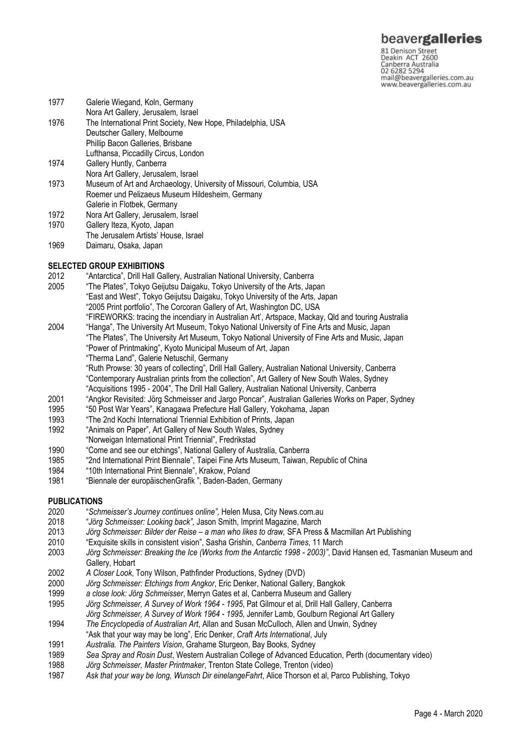81 Denison Street<br>Deakin ACT 2600 Canberra Australia mail@beavergalleries.com.au www.beavergalleries.com.au

- 1977 Galerie Wiegand, Koln, Germany Nora Art Gallery, Jerusalem, Israel 1976 The International Print Society, New Hope, Philadelphia, USA Deutscher Gallery, Melbourne Phillip Bacon Galleries, Brisbane Lufthansa, Piccadilly Circus, London 1974 Gallery Huntly, Canberra Nora Art Gallery, Jerusalem, Israel 1973 Museum of Art and Archaeology, University of Missouri, Columbia, USA Roemer und Pelizaeus Museum Hildesheim, Germany Galerie in Flotbek, Germany 1972 Nora Art Gallery, Jerusalem, Israel 1970 Gallery Iteza, Kyoto, Japan
- The Jerusalem Artists' House, Israel
- 1969 Daimaru, Osaka, Japan

### **SELECTED GROUP EXHIBITIONS**

- 2012 "Antarctica", Drill Hall Gallery, Australian National University, Canberra
- 2005 "The Plates", Tokyo Geijutsu Daigaku, Tokyo University of the Arts, Japan "East and West", Tokyo Geijutsu Daigaku, Tokyo University of the Arts, Japan "2005 Print portfolio", The Corcoran Gallery of Art, Washington DC, USA
- "FIREWORKS: tracing the incendiary in Australian Art', Artspace, Mackay, Qld and touring Australia 2004 "Hanga", The University Art Museum, Tokyo National University of Fine Arts and Music, Japan
- "The Plates", The University Art Museum, Tokyo National University of Fine Arts and Music, Japan "Power of Printmaking", Kyoto Municipal Museum of Art, Japan "Therma Land", Galerie Netuschil, Germany "Ruth Prowse: 30 years of collecting", Drill Hall Gallery, Australian National University, Canberra "Contemporary Australian prints from the collection", Art Gallery of New South Wales, Sydney
	-
	- "Acquisitions 1995 2004", The Drill Hall Gallery, Australian National University, Canberra
- 2001 "Angkor Revisited: Jörg Schmeisser and Jargo Poncar", Australian Galleries Works on Paper, Sydney
- 1995 "50 Post War Years", Kanagawa Prefecture Hall Gallery, Yokohama, Japan<br>1993 "The 2nd Kochi International Triennial Exhibition of Prints. Japan
- "The 2nd Kochi International Triennial Exhibition of Prints, Japan
- 1992 "Animals on Paper", Art Gallery of New South Wales, Sydney
- "Norweigan International Print Triennial", Fredrikstad
- 1990 "Come and see our etchings", National Gallery of Australia, Canberra
- 1985 "2nd International Print Biennale", Taipei Fine Arts Museum, Taiwan, Republic of China
- 1984 "10th International Print Biennale", Krakow, Poland
- 1981 "Biennale der europäischenGrafik ", Baden-Baden, Germany

### **PUBLICATIONS**

- 2020 "*Schmeisser's Journey continues online",* Helen Musa, City News.com.au
- 2018 "*Jörg Schmeisser: Looking back",* Jason Smith, Imprint Magazine, March
- 2013 *Jörg Schmeisser: Bilder der Reise – a man who likes to draw,* SFA Press & Macmillan Art Publishing
- 2010 "Exquisite skills in consistent vision", Sasha Grishin, *Canberra Times*, 11 March
- 2003 *Jörg Schmeisser: Breaking the Ice (Works from the Antarctic 1998 - 2003)"*, David Hansen ed, Tasmanian Museum and Gallery, Hobart
- 2002 *A Closer Look*, Tony Wilson, Pathfinder Productions, Sydney (DVD)
- 2000 *Jörg Schmeisser: Etchings from Angkor*, Eric Denker, National Gallery, Bangkok
- 1999 *a close look: Jörg Schmeisser*, Merryn Gates et al, Canberra Museum and Gallery
- 1995 *Jörg Schmeisser, A Survey of Work 1964 - 1995*, Pat Gilmour et al, Drill Hall Gallery, Canberra *Jörg Schmeisser, A Survey of Work 1964 - 1995*, Jennifer Lamb, Goulburn Regional Art Gallery
- 1994 *The Encyclopedia of Australian Art*, Allan and Susan McCulloch, Allen and Unwin, Sydney
- "Ask that your way may be long", Eric Denker, *Craft Arts International*, July
- 1991 *Australia. The Painters Vision*, Grahame Sturgeon, Bay Books, Sydney
- 1989 *Sea Spray and Rosin Dust*, Western Australian College of Advanced Education, Perth (documentary video)
- 1988 *Jörg Schmeisser, Master Printmaker*, Trenton State College, Trenton (video)
- 1987 *Ask that your way be long, Wunsch Dir einelangeFahrt*, Alice Thorson et al, Parco Publishing, Tokyo